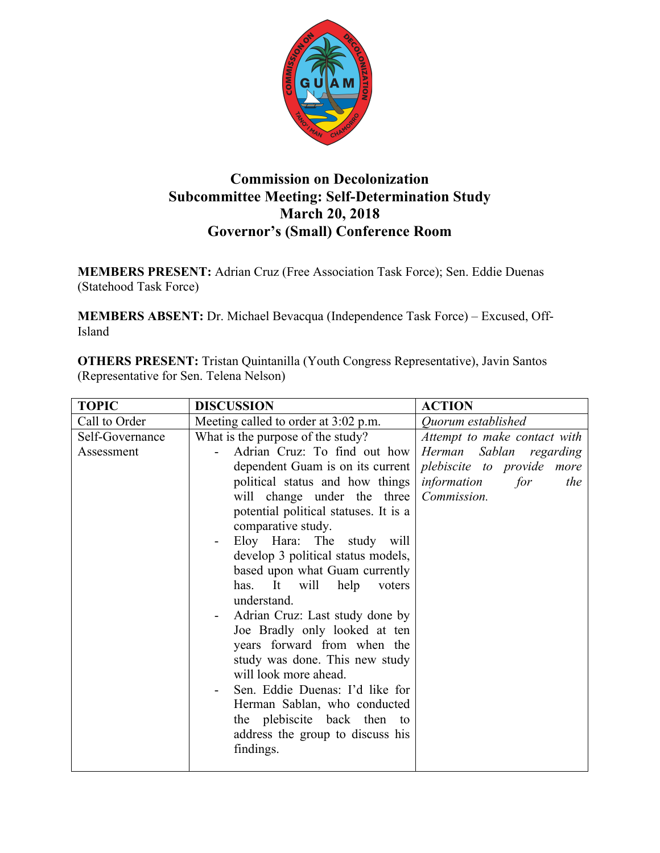

## **Commission on Decolonization Subcommittee Meeting: Self-Determination Study March 20, 2018 Governor's (Small) Conference Room**

**MEMBERS PRESENT:** Adrian Cruz (Free Association Task Force); Sen. Eddie Duenas (Statehood Task Force)

**MEMBERS ABSENT:** Dr. Michael Bevacqua (Independence Task Force) – Excused, Off-Island

**OTHERS PRESENT:** Tristan Quintanilla (Youth Congress Representative), Javin Santos (Representative for Sen. Telena Nelson)

| <b>TOPIC</b>    | <b>DISCUSSION</b>                     | <b>ACTION</b>                |
|-----------------|---------------------------------------|------------------------------|
| Call to Order   | Meeting called to order at 3:02 p.m.  | Quorum established           |
| Self-Governance | What is the purpose of the study?     | Attempt to make contact with |
| Assessment      | Adrian Cruz: To find out how          | Herman Sablan regarding      |
|                 | dependent Guam is on its current      | plebiscite to provide more   |
|                 | political status and how things       | information<br>for<br>the    |
|                 | will change under the three           | Commission.                  |
|                 | potential political statuses. It is a |                              |
|                 | comparative study.                    |                              |
|                 | Eloy Hara: The study will             |                              |
|                 | develop 3 political status models,    |                              |
|                 | based upon what Guam currently        |                              |
|                 | It<br>will<br>has.<br>help<br>voters  |                              |
|                 | understand.                           |                              |
|                 | Adrian Cruz: Last study done by       |                              |
|                 | Joe Bradly only looked at ten         |                              |
|                 | years forward from when the           |                              |
|                 | study was done. This new study        |                              |
|                 | will look more ahead.                 |                              |
|                 | Sen. Eddie Duenas: I'd like for       |                              |
|                 | Herman Sablan, who conducted          |                              |
|                 | the plebiscite back then to           |                              |
|                 | address the group to discuss his      |                              |
|                 | findings.                             |                              |
|                 |                                       |                              |